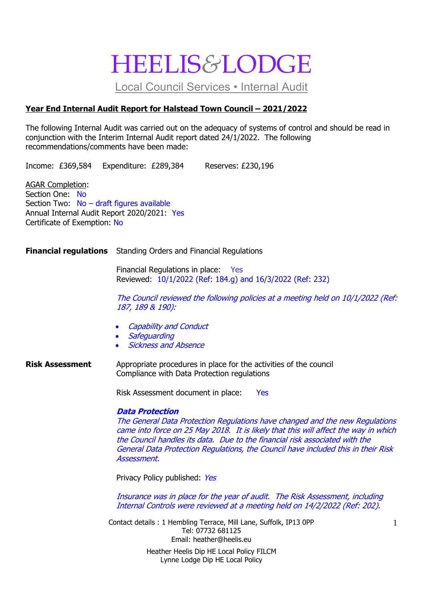# HEELIS*&*LODGE

Local Council Services • Internal Audit

### **Year End Internal Audit Report for Halstead Town Council – 2021/2022**

The following Internal Audit was carried out on the adequacy of systems of control and should be read in conjunction with the Interim Internal Audit report dated 24/1/2022. The following recommendations/comments have been made:

Income: £369,584 Expenditure: £289,384 Reserves: £230,196

AGAR Completion: Section One: No Section Two: No – draft figures available Annual Internal Audit Report 2020/2021: Yes Certificate of Exemption: No

**Financial regulations** Standing Orders and Financial Regulations

Financial Regulations in place: Yes Reviewed: 10/1/2022 (Ref: 184.g) and 16/3/2022 (Ref: 232)

The Council reviewed the following policies at a meeting held on 10/1/2022 (Ref: 187, 189 & 190):

- **Capability and Conduct**
- **Safeguarding**
- Sickness and Absence

**Risk Assessment** Appropriate procedures in place for the activities of the council Compliance with Data Protection regulations

Risk Assessment document in place: Yes

#### **Data Protection**

The General Data Protection Regulations have changed and the new Regulations came into force on 25 May 2018. It is likely that this will affect the way in which the Council handles its data. Due to the financial risk associated with the General Data Protection Regulations, the Council have included this in their Risk Assessment.

Privacy Policy published: Yes

Insurance was in place for the year of audit. The Risk Assessment, including Internal Controls were reviewed at a meeting held on 14/2/2022 (Ref: 202).

Contact details : 1 Hembling Terrace, Mill Lane, Suffolk, IP13 0PP Tel: 07732 681125 Email: heather@heelis.eu Heather Heelis Dip HE Local Policy FILCM Lynne Lodge Dip HE Local Policy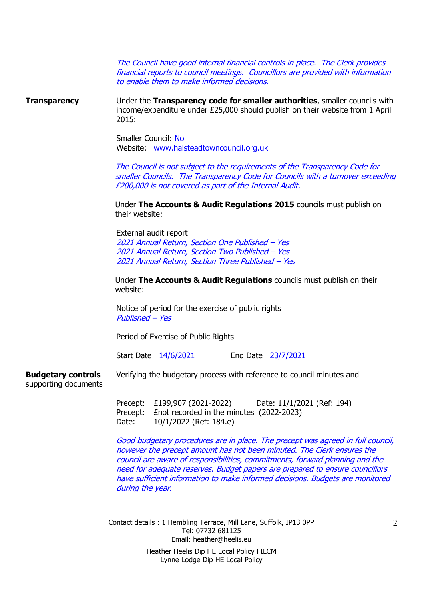The Council have good internal financial controls in place. The Clerk provides financial reports to council meetings. Councillors are provided with information to enable them to make informed decisions.

**Transparency** Under the **Transparency code for smaller authorities**, smaller councils with income/expenditure under £25,000 should publish on their website from 1 April 2015:

> Smaller Council: No Website: www.halsteadtowncouncil.org.uk

The Council is not subject to the requirements of the Transparency Code for smaller Councils. The Transparency Code for Councils with a turnover exceeding £200,000 is not covered as part of the Internal Audit.

Under **The Accounts & Audit Regulations 2015** councils must publish on their website:

External audit report Annual Return, Section One Published – Yes Annual Return, Section Two Published – Yes Annual Return, Section Three Published – Yes

Under **The Accounts & Audit Regulations** councils must publish on their website:

Notice of period for the exercise of public rights Published – Yes

Period of Exercise of Public Rights

Start Date 14/6/2021 End Date 23/7/2021

**Budgetary controls** Verifying the budgetary process with reference to council minutes and supporting documents

Precept: £199,907 (2021-2022) Date: 11/1/2021 (Ref: 194) Precept: £not recorded in the minutes (2022-2023) Date: 10/1/2022 (Ref: 184.e)

Good budgetary procedures are in place. The precept was agreed in full council, however the precept amount has not been minuted. The Clerk ensures the council are aware of responsibilities, commitments, forward planning and the need for adequate reserves. Budget papers are prepared to ensure councillors have sufficient information to make informed decisions. Budgets are monitored during the year.

Contact details : 1 Hembling Terrace, Mill Lane, Suffolk, IP13 0PP Tel: 07732 681125 Email: heather@heelis.eu Heather Heelis Dip HE Local Policy FILCM Lynne Lodge Dip HE Local Policy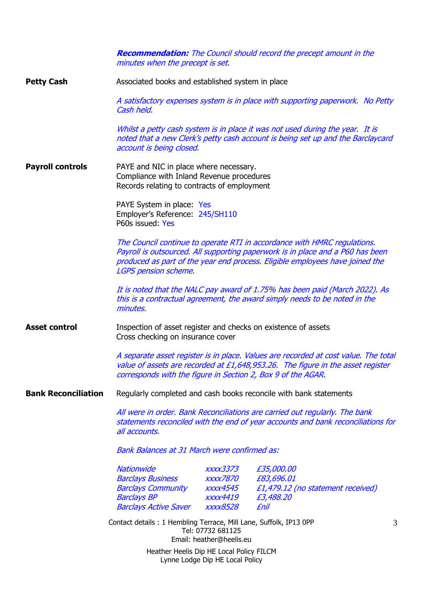**Recommendation:** The Council should record the precept amount in the minutes when the precept is set.

**Petty Cash** Associated books and established system in place

A satisfactory expenses system is in place with supporting paperwork. No Petty Cash held.

Whilst a petty cash system is in place it was not used during the year. It is noted that a new Clerk's petty cash account is being set up and the Barclaycard account is being closed.

**Payroll controls** PAYE and NIC in place where necessary. Compliance with Inland Revenue procedures Records relating to contracts of employment

> PAYE System in place: Yes Employer's Reference: 245/SH110 P60s issued: Yes

The Council continue to operate RTI in accordance with HMRC regulations. Payroll is outsourced. All supporting paperwork is in place and a P60 has been produced as part of the year end process. Eligible employees have joined the LGPS pension scheme.

It is noted that the NALC pay award of 1.75% has been paid (March 2022). As this is a contractual agreement, the award simply needs to be noted in the minutes.

**Asset control** Inspection of asset register and checks on existence of assets Cross checking on insurance cover

> A separate asset register is in place. Values are recorded at cost value. The total value of assets are recorded at £1,648,953.26. The figure in the asset register corresponds with the figure in Section 2, Box 9 of the AGAR.

**Bank Reconciliation** Regularly completed and cash books reconcile with bank statements

All were in order. Bank Reconciliations are carried out regularly. The bank statements reconciled with the end of year accounts and bank reconciliations for all accounts.

Bank Balances at 31 March were confirmed as:

| <b>Nationwide</b>            | xxxx3373               | £35,000.00                        |
|------------------------------|------------------------|-----------------------------------|
| <b>Barclays Business</b>     | <i><b>XXXX7870</b></i> | £83,696.01                        |
| <b>Barclays Community</b>    | <i>xxxx4545</i>        | £1,479.12 (no statement received) |
| <b>Barclays BP</b>           | xxxx4419               | £3,488.20                         |
| <b>Barclays Active Saver</b> | <i><b>XXXX8528</b></i> | fnil                              |

Contact details : 1 Hembling Terrace, Mill Lane, Suffolk, IP13 0PP Tel: 07732 681125 Email: heather@heelis.eu

> Heather Heelis Dip HE Local Policy FILCM Lynne Lodge Dip HE Local Policy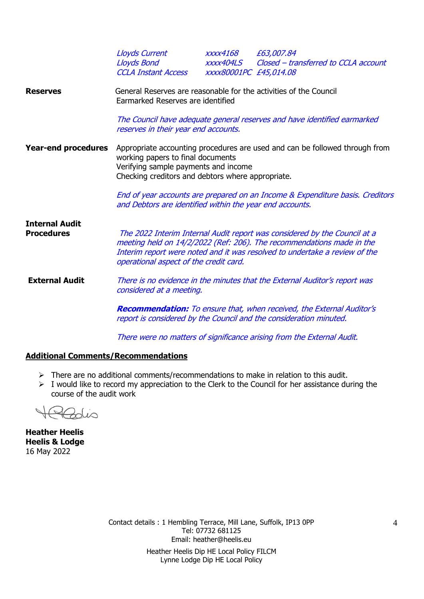|                                            | <b>Lloyds Current</b><br>Lloyds Bond<br>CCLA Instant Access                                                                                                                                                   | <i>xxxx4168</i><br>xxxx404LS<br>XXXX80001PC £45,014.08 | £63,007.84<br>Closed - transferred to CCLA account                                                                                                                                                                               |  |  |  |
|--------------------------------------------|---------------------------------------------------------------------------------------------------------------------------------------------------------------------------------------------------------------|--------------------------------------------------------|----------------------------------------------------------------------------------------------------------------------------------------------------------------------------------------------------------------------------------|--|--|--|
| <b>Reserves</b>                            | General Reserves are reasonable for the activities of the Council<br>Earmarked Reserves are identified                                                                                                        |                                                        |                                                                                                                                                                                                                                  |  |  |  |
|                                            | The Council have adequate general reserves and have identified earmarked<br>reserves in their year end accounts.                                                                                              |                                                        |                                                                                                                                                                                                                                  |  |  |  |
| <b>Year-end procedures</b>                 | Appropriate accounting procedures are used and can be followed through from<br>working papers to final documents<br>Verifying sample payments and income<br>Checking creditors and debtors where appropriate. |                                                        |                                                                                                                                                                                                                                  |  |  |  |
|                                            | and Debtors are identified within the year end accounts.                                                                                                                                                      |                                                        | End of year accounts are prepared on an Income & Expenditure basis. Creditors                                                                                                                                                    |  |  |  |
| <b>Internal Audit</b><br><b>Procedures</b> | operational aspect of the credit card.                                                                                                                                                                        |                                                        | The 2022 Interim Internal Audit report was considered by the Council at a<br>meeting held on 14/2/2022 (Ref: 206). The recommendations made in the<br>Interim report were noted and it was resolved to undertake a review of the |  |  |  |
| <b>External Audit</b>                      | There is no evidence in the minutes that the External Auditor's report was<br>considered at a meeting.                                                                                                        |                                                        |                                                                                                                                                                                                                                  |  |  |  |
|                                            | <b>Recommendation:</b> To ensure that, when received, the External Auditor's<br>report is considered by the Council and the consideration minuted.                                                            |                                                        |                                                                                                                                                                                                                                  |  |  |  |
|                                            |                                                                                                                                                                                                               |                                                        | There were no matters of significance arising from the External Audit.                                                                                                                                                           |  |  |  |

#### **Additional Comments/Recommendations**

- ➢ There are no additional comments/recommendations to make in relation to this audit.
- ➢ I would like to record my appreciation to the Clerk to the Council for her assistance during the course of the audit work

 $\overline{\mathcal{L}}$ 

**Heather Heelis Heelis & Lodge** 16 May 2022

Contact details : 1 Hembling Terrace, Mill Lane, Suffolk, IP13 0PP Tel: 07732 681125 Email: heather@heelis.eu Heather Heelis Dip HE Local Policy FILCM Lynne Lodge Dip HE Local Policy